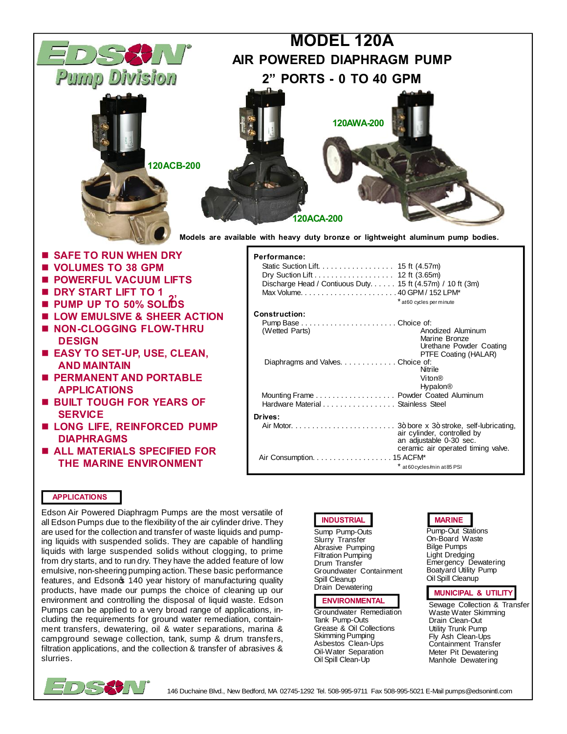

- **BUILT TOUGH FOR YEARS OF SERVICE**
- $\blacksquare$  **LONG LIFE, REINFORCED PUMP DIAPHRAGMS**
- $\blacksquare$  **ALL MATERIALS SPECIFIED FOR THE MARINE ENVIRONMENT**
- Hardware Material . . . . . . . . . . . . . . . . Stainless Steel **Drives:** Air Motor. . . . . . . . . . . . . . . . . . . . . . . . . 3" bore x 3" stroke, self-lubricating, air cylinder, controlled by an adjustable 0-30 sec. ceramic air operated timing valve. Air Consumption. . . . . . . . . . . . . . . . . . . 15 ACFM\* \* at 60 cycles/min at 85 PSI

## **APPLICATIONS**

Edson Air Powered Diaphragm Pumps are the most versatile of all Edson Pumps due to the flexibility of the air cylinder drive. They are used for the collection and transfer of waste liquids and pumping liquids with suspended solids. They are capable of handling liquids with large suspended solids without clogging, to prime from dry starts, and to run dry. They have the added feature of low emulsive, non-sheering pumping action. These basic performance features, and Edsono 140 year history of manufacturing quality products, have made our pumps the choice of cleaning up our environment and controlling the disposal of liquid waste. Edson Pumps can be applied to a very broad range of applications, including the requirements for ground water remediation, containment transfers, dewatering, oil & water separations, marina & campground sewage collection, tank, sump & drum transfers, filtration applications, and the collection & transfer of abrasives & slurries.



Sump Pump-Outs Slurry Transfer Abrasive Pumping Filtration Pumping Drum Transfer Groundwater Containment Spill Cleanup Drain Dewatering

#### **ENVIRONMENTAL**

Groundwater Remediation Tank Pump-Outs Grease & Oil Collections Skimming Pumping Asbestos Clean-Ups Oil-Water Separation Oil Spill Clean-Up

# **INDUSTRIAL MARINE**

Pump-Out Stations On-Board Waste Bilge Pumps Light Dredging Emergency Dewatering Boatyard Utility Pump Oil Spill Cleanup

### **MUNICIPAL & UTILITY**

Sewage Collection & Transfer Waste Water Skimming Drain Clean-Out Utility Trunk Pump Fly Ash Clean-Ups Containment Transfer Meter Pit Dewatering Manhole Dewatering